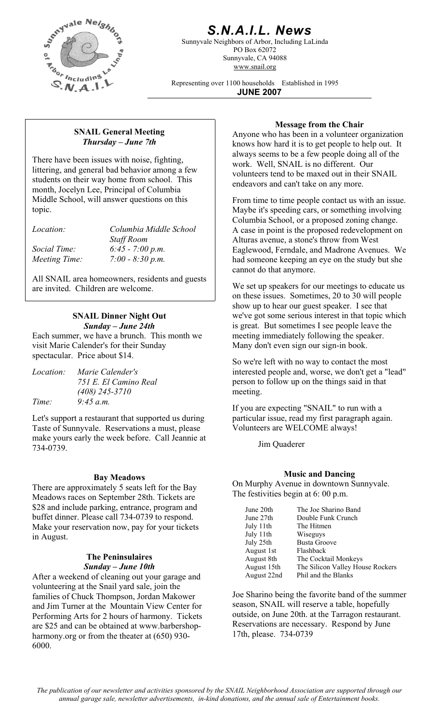

# *S.N.A.I.L. News*

Sunnyvale Neighbors of Arbor, Including LaLinda PO Box 62072 Sunnyvale, CA 94088 www.snail.org

Representing over 1100 households Established in 1995 **JUNE 2007**

# *Thursday – June 7th*

There have been issues with noise, fighting, littering, and general bad behavior among a few students on their way home from school. This month, Jocelyn Lee, Principal of Columbia Middle School, will answer questions on this topic.

| <i>Location:</i> | Columbia Middle School |  |
|------------------|------------------------|--|
|                  | <b>Staff Room</b>      |  |
| Social Time:     | $6:45 - 7:00 p.m.$     |  |
| Meeting Time:    | $7:00 - 8:30 p.m.$     |  |

All SNAIL area homeowners, residents and guests are invited. Children are welcome. We set up speakers for our meetings to educate us

### **SNAIL Dinner Night Out**  *Sunday – June 24th*

Each summer, we have a brunch. This month we visit Marie Calender's for their Sunday spectacular. Price about \$14.<br>So we're left with no way to contact the most

| <i>Location:</i> | Marie Calender's      |
|------------------|-----------------------|
|                  | 751 E. El Camino Real |
|                  | $(408)$ 245-3710      |
| Time:            | $9:45$ a.m.           |

Let's support a restaurant that supported us during Taste of Sunnyvale. Reservations a must, please make yours early the week before. Call Jeannie at 134-0739. Jim Quaderer

There are approximately 5 seats left for the Bay<br>Moodows reses on Sontomber 28th, Tickets are The festivities begin at 6: 00 p.m. Meadows races on September 28th. Tickets are \$28 and include parking, entrance, program and buffet dinner. Please call 734-0739 to respond. Make your reservation now, pay for your tickets in August.

#### **The Peninsulaires**  *Sunday – June 10th*

After a weekend of cleaning out your garage and volunteering at the Snail yard sale, join the families of Chuck Thompson, Jordan Makower and Jim Turner at the Mountain View Center for Performing Arts for 2 hours of harmony. Tickets are \$25 and can be obtained at www.barbershopharmony.org or from the theater at (650) 930- 6000.

**Message from the Chair**<br>Message from the Chair<br>Anyone who has been in a volunteer organization knows how hard it is to get people to help out. It always seems to be a few people doing all of the work. Well, SNAIL is no different. Our volunteers tend to be maxed out in their SNAIL endeavors and can't take on any more.

> From time to time people contact us with an issue. Maybe it's speeding cars, or something involving Columbia School, or a proposed zoning change. A case in point is the proposed redevelopment on Alturas avenue, a stone's throw from West Eaglewood, Ferndale, and Madrone Avenues. We had someone keeping an eye on the study but she cannot do that anymore.

> on these issues. Sometimes, 20 to 30 will people show up to hear our guest speaker. I see that we've got some serious interest in that topic which is great. But sometimes I see people leave the meeting immediately following the speaker. Many don't even sign our sign-in book.

> interested people and, worse, we don't get a "lead" person to follow up on the things said in that meeting.

If you are expecting "SNAIL" to run with a particular issue, read my first paragraph again. Volunteers are WELCOME always!

## **Music and Dancing Bay Meadows**

On Murphy Avenue in downtown Sunnyvale.

| June 20th   | The Joe Sharino Band             |
|-------------|----------------------------------|
| June 27th   | Double Funk Crunch               |
| July 11th   | The Hitmen                       |
| July 11th   | Wiseguys                         |
| July 25th   | <b>Busta Groove</b>              |
| August 1st  | Flashback                        |
| August 8th  | The Cocktail Monkeys             |
| August 15th | The Silicon Valley House Rockers |
| August 22nd | Phil and the Blanks              |

Joe Sharino being the favorite band of the summer season, SNAIL will reserve a table, hopefully outside, on June 20th. at the Tarragon restaurant. Reservations are necessary. Respond by June 17th, please. 734-0739